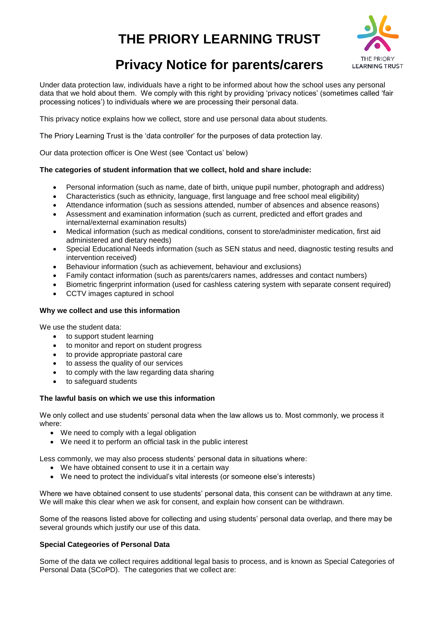# **THE PRIORY LEARNING TRUST**



## **Privacy Notice for parents/carers**

Under data protection law, individuals have a right to be informed about how the school uses any personal data that we hold about them. We comply with this right by providing 'privacy notices' (sometimes called 'fair processing notices') to individuals where we are processing their personal data.

This privacy notice explains how we collect, store and use personal data about students.

The Priory Learning Trust is the 'data controller' for the purposes of data protection lay.

Our data protection officer is One West (see 'Contact us' below)

## **The categories of student information that we collect, hold and share include:**

- Personal information (such as name, date of birth, unique pupil number, photograph and address)
- Characteristics (such as ethnicity, language, first language and free school meal eligibility)
- Attendance information (such as sessions attended, number of absences and absence reasons)
- Assessment and examination information (such as current, predicted and effort grades and internal/external examination results)
- Medical information (such as medical conditions, consent to store/administer medication, first aid administered and dietary needs)
- Special Educational Needs information (such as SEN status and need, diagnostic testing results and intervention received)
- Behaviour information (such as achievement, behaviour and exclusions)
- Family contact information (such as parents/carers names, addresses and contact numbers)
- Biometric fingerprint information (used for cashless catering system with separate consent required)
- CCTV images captured in school

## **Why we collect and use this information**

We use the student data:

- to support student learning
- to monitor and report on student progress
- to provide appropriate pastoral care
- to assess the quality of our services
- to comply with the law regarding data sharing
- to safeguard students

## **The lawful basis on which we use this information**

We only collect and use students' personal data when the law allows us to. Most commonly, we process it where:

- We need to comply with a legal obligation
- We need it to perform an official task in the public interest

Less commonly, we may also process students' personal data in situations where:

- We have obtained consent to use it in a certain way
- We need to protect the individual's vital interests (or someone else's interests)

Where we have obtained consent to use students' personal data, this consent can be withdrawn at any time. We will make this clear when we ask for consent, and explain how consent can be withdrawn.

Some of the reasons listed above for collecting and using students' personal data overlap, and there may be several grounds which justify our use of this data.

## **Special Categeories of Personal Data**

Some of the data we collect requires additional legal basis to process, and is known as Special Categories of Personal Data (SCoPD). The categories that we collect are: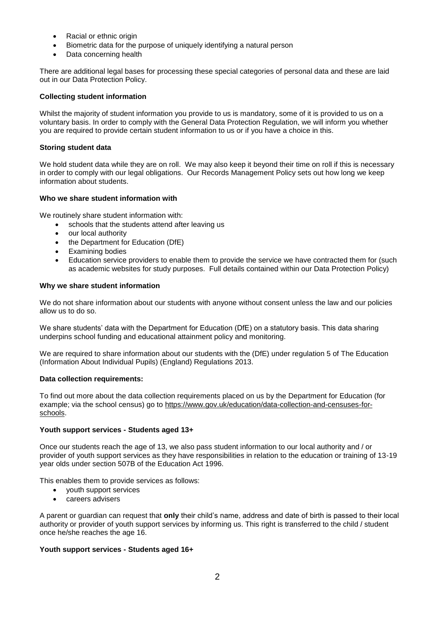- Racial or ethnic origin
- Biometric data for the purpose of uniquely identifying a natural person
- Data concerning health

There are additional legal bases for processing these special categories of personal data and these are laid out in our Data Protection Policy.

## **Collecting student information**

Whilst the majority of student information you provide to us is mandatory, some of it is provided to us on a voluntary basis. In order to comply with the General Data Protection Regulation, we will inform you whether you are required to provide certain student information to us or if you have a choice in this.

## **Storing student data**

We hold student data while they are on roll. We may also keep it beyond their time on roll if this is necessary in order to comply with our legal obligations. Our Records Management Policy sets out how long we keep information about students.

#### **Who we share student information with**

We routinely share student information with:

- schools that the students attend after leaving us
- our local authority
- the Department for Education (DfE)
- Examining bodies
- Education service providers to enable them to provide the service we have contracted them for (such as academic websites for study purposes. Full details contained within our Data Protection Policy)

#### **Why we share student information**

We do not share information about our students with anyone without consent unless the law and our policies allow us to do so.

We share students' data with the Department for Education (DfE) on a statutory basis. This data sharing underpins school funding and educational attainment policy and monitoring.

We are required to share information about our students with the (DfE) under regulation 5 of The Education (Information About Individual Pupils) (England) Regulations 2013.

## **Data collection requirements:**

To find out more about the data collection requirements placed on us by the Department for Education (for example; via the school census) go to [https://www.gov.uk/education/data-collection-and-censuses-for](https://www.gov.uk/education/data-collection-and-censuses-for-schools)[schools.](https://www.gov.uk/education/data-collection-and-censuses-for-schools)

## **Youth support services - Students aged 13+**

Once our students reach the age of 13, we also pass student information to our local authority and / or provider of youth support services as they have responsibilities in relation to the education or training of 13-19 year olds under section 507B of the Education Act 1996.

This enables them to provide services as follows:

- youth support services
- careers advisers

A parent or guardian can request that **only** their child's name, address and date of birth is passed to their local authority or provider of youth support services by informing us. This right is transferred to the child / student once he/she reaches the age 16.

## **Youth support services - Students aged 16+**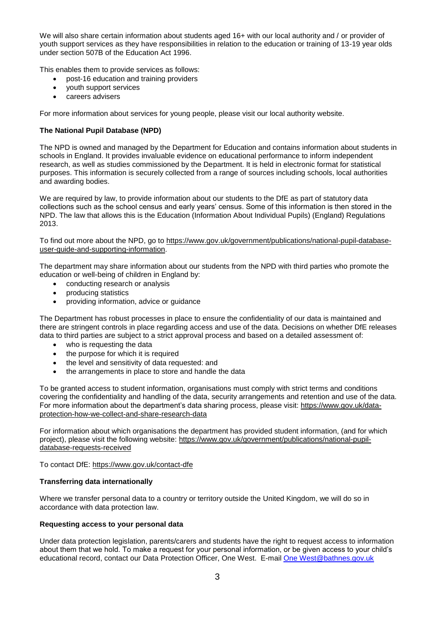We will also share certain information about students aged 16+ with our local authority and / or provider of youth support services as they have responsibilities in relation to the education or training of 13-19 year olds under section 507B of the Education Act 1996.

This enables them to provide services as follows:

- post-16 education and training providers
- youth support services
- careers advisers

For more information about services for young people, please visit our local authority website.

## **The National Pupil Database (NPD)**

The NPD is owned and managed by the Department for Education and contains information about students in schools in England. It provides invaluable evidence on educational performance to inform independent research, as well as studies commissioned by the Department. It is held in electronic format for statistical purposes. This information is securely collected from a range of sources including schools, local authorities and awarding bodies.

We are required by law, to provide information about our students to the DfE as part of statutory data collections such as the school census and early years' census. Some of this information is then stored in the NPD. The law that allows this is the Education (Information About Individual Pupils) (England) Regulations 2013.

To find out more about the NPD, go to [https://www.gov.uk/government/publications/national-pupil-database](https://www.gov.uk/government/publications/national-pupil-database-user-guide-and-supporting-information)[user-guide-and-supporting-information.](https://www.gov.uk/government/publications/national-pupil-database-user-guide-and-supporting-information)

The department may share information about our students from the NPD with third parties who promote the education or well-being of children in England by:

- conducting research or analysis
- producing statistics
- providing information, advice or guidance

The Department has robust processes in place to ensure the confidentiality of our data is maintained and there are stringent controls in place regarding access and use of the data. Decisions on whether DfE releases data to third parties are subject to a strict approval process and based on a detailed assessment of:

- who is requesting the data
- the purpose for which it is required
- the level and sensitivity of data requested: and
- the arrangements in place to store and handle the data

To be granted access to student information, organisations must comply with strict terms and conditions covering the confidentiality and handling of the data, security arrangements and retention and use of the data. For more information about the department's data sharing process, please visit: [https://www.gov.uk/data](https://www.gov.uk/data-protection-how-we-collect-and-share-research-data)[protection-how-we-collect-and-share-research-data](https://www.gov.uk/data-protection-how-we-collect-and-share-research-data)

For information about which organisations the department has provided student information, (and for which project), please visit the following website: [https://www.gov.uk/government/publications/national-pupil](https://www.gov.uk/government/publications/national-pupil-database-requests-received)[database-requests-received](https://www.gov.uk/government/publications/national-pupil-database-requests-received)

To contact DfE:<https://www.gov.uk/contact-dfe>

## **Transferring data internationally**

Where we transfer personal data to a country or territory outside the United Kingdom, we will do so in accordance with data protection law.

## **Requesting access to your personal data**

Under data protection legislation, parents/carers and students have the right to request access to information about them that we hold. To make a request for your personal information, or be given access to your child's educational record, contact our Data Protection Officer, One West. E-mail [One West@bathnes.gov.uk](mailto:i-West@bathnes.gov.uk)